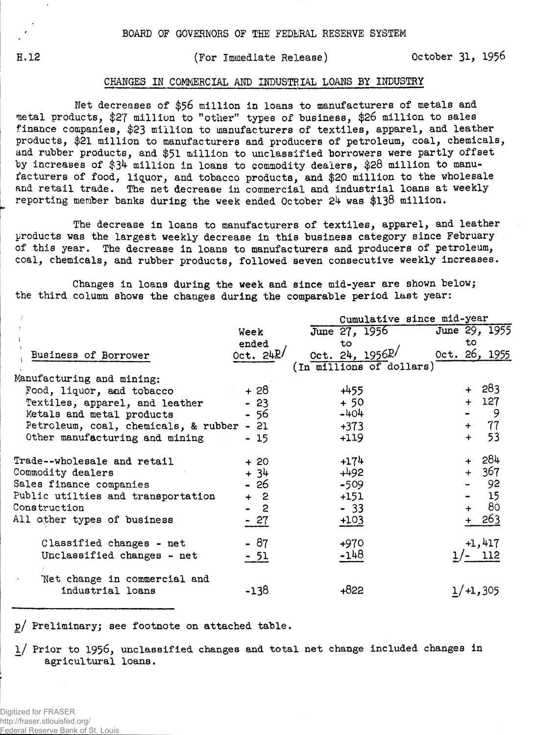## H.12 (For Immediate Release) 0ctober 31, 1956

## CHANGES IN COMMERCIAL AND INDUSTRIAL LOAMS BY INDUSTRY

Net decreases of \$56 million in loans to manufacturers of metals and metal products, \$27 million to "other" types of business, \$26 million to sales finance companies, \$23 million to manufacturers of textiles, apparel, and leather products, \$21 million to manufacturers and producers of petroleum, coal, chemicals, and rubber products, and \$51 million to unclassified borrowers were partly offset by increases of \$34 million in loans to commodity dealers, \$28 million to manufacturers of food, liquor, and tobacco products, and \$20 million to the wholesale and retail trade. The net decrease in commercial and industrial loans at weekly reporting member banks during the week ended October 24 was \$138 million.

The decrease in loans to manufacturers of textiles, apparel, and leather products was the largest weekly decrease in this business category since February of this year. The decrease in loans to manufacturers and producers of petroleum, coal, chemicals, and rubber products, followed seven consecutive weekly increases.

Changes in loans during the week and since mid-year are shown below; the third column shows the changes during the comparable period last year:

|                                                            |          | Cumulative since mid-year      |               |  |  |  |  |  |
|------------------------------------------------------------|----------|--------------------------------|---------------|--|--|--|--|--|
|                                                            | Week     | June 27, 1956                  | June 29, 1955 |  |  |  |  |  |
|                                                            | ended    | to                             | to            |  |  |  |  |  |
| Business of Borrower                                       | Oct. 24L | Oct. $24, 1956$ <sup>p</sup> / | Oct. 26, 1955 |  |  |  |  |  |
|                                                            |          | (In millions of dollars)       |               |  |  |  |  |  |
| Manufacturing and mining:                                  |          |                                |               |  |  |  |  |  |
| Food, liquor, and tobacco                                  | $+28$    | $+455$                         | + 283         |  |  |  |  |  |
| Textiles, apparel, and leather                             | $-23$    | $+50$                          | 127<br>$+$    |  |  |  |  |  |
| Metals and metal products                                  | - 56     | $-404$                         | - 9           |  |  |  |  |  |
| Petroleum, coal, chemicals, & rubber - 21                  |          | $+373$                         | + 77          |  |  |  |  |  |
| Other manufacturing and mining                             | $-15$    | $+119$                         | 53<br>$+$     |  |  |  |  |  |
| Trade--wholesale and retail                                | $+20$    | $+174$                         | -284          |  |  |  |  |  |
| Commodity dealers                                          | $+34$    | $+492$                         | $+367$        |  |  |  |  |  |
| Sales finance companies                                    | - 26     | $-509$                         | 92            |  |  |  |  |  |
| Public utilties and transportation                         | $+2$     | $+151$                         | 15            |  |  |  |  |  |
| Construction                                               | - 2      | $-33$                          | 80<br>$+$     |  |  |  |  |  |
| All other types of business                                | $-27$    | $+103$                         | $+263$        |  |  |  |  |  |
| Classified changes - net                                   | $-87$    | +970                           | $+1, 417$     |  |  |  |  |  |
| Unclassified changes - net                                 | $-51$    | $-148$                         | 1/- 112       |  |  |  |  |  |
| Net change in commercial and<br>$\sim$<br>industrial loans | -138     | +822                           | 1/+1,305      |  |  |  |  |  |

p/ Preliminary; see footnote on attached table.

l/ Prior to 1956, unclassified changes and total net change included changes in agricultural loans.